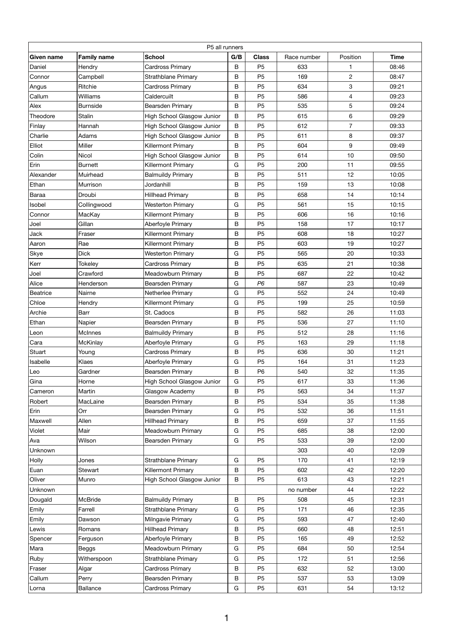| P5 all runners  |                    |                                   |     |                |             |                |             |  |
|-----------------|--------------------|-----------------------------------|-----|----------------|-------------|----------------|-------------|--|
| Given name      | <b>Family name</b> | <b>School</b>                     | G/B | <b>Class</b>   | Race number | Position       | <b>Time</b> |  |
| Daniel          | Hendry             | <b>Cardross Primary</b>           | B   | P <sub>5</sub> | 633         |                | 08:46       |  |
| Connor          | Campbell           | <b>Strathblane Primary</b>        | B   | P <sub>5</sub> | 169         | $\overline{2}$ | 08:47       |  |
| Angus           | Ritchie            | <b>Cardross Primary</b>           | B   | P <sub>5</sub> | 634         | 3              | 09:21       |  |
| Callum          | <b>Williams</b>    | Caldercuilt                       | B   | P <sub>5</sub> | 586         | 4              | 09:23       |  |
| Alex            | <b>Burnside</b>    | <b>Bearsden Primary</b>           | B   | P <sub>5</sub> | 535         | 5              | 09:24       |  |
| Theodore        | Stalin             | High School Glasgow Junior        | B   | P <sub>5</sub> | 615         | 6              | 09:29       |  |
| Finlay          | Hannah             | <b>High School Glasgow Junior</b> | B   | P <sub>5</sub> | 612         | $\overline{7}$ | 09:33       |  |
| Charlie         | Adams              | High School Glasgow Junior        | B   | P <sub>5</sub> | 611         | 8              | 09:37       |  |
| Elliot          | Miller             | <b>Killermont Primary</b>         | B   | P <sub>5</sub> | 604         | 9              | 09:49       |  |
| Colin           | <b>Nicol</b>       | <b>High School Glasgow Junior</b> | B   | P <sub>5</sub> | 614         | 10             | 09:50       |  |
| Erin            | <b>Burnett</b>     | <b>Killermont Primary</b>         | G   | P <sub>5</sub> | 200         | 11             | 09:55       |  |
| Alexander       | Muirhead           | <b>Balmuildy Primary</b>          | B   | P <sub>5</sub> | 511         | 12             | 10:05       |  |
| Ethan           | Murrison           | Jordanhill                        | B   | P <sub>5</sub> | 159         | 13             | 10:08       |  |
| <b>Baraa</b>    | Droubi             | <b>Hillhead Primary</b>           | B   | P <sub>5</sub> | 658         | 14             | 10:14       |  |
| Isobel          | Collingwood        | <b>Westerton Primary</b>          | G   | P <sub>5</sub> | 561         | 15             | 10:15       |  |
| Connor          | MacKay             | <b>Killermont Primary</b>         | B   | P <sub>5</sub> | 606         | 16             | 10:16       |  |
| Joel            | Gillan             | Aberfoyle Primary                 | B   | P <sub>5</sub> | 158         | 17             | 10:17       |  |
| Jack            | Fraser             | <b>Killermont Primary</b>         | B   | P <sub>5</sub> | 608         | 18             | 10:27       |  |
| Aaron           | Rae                | <b>Killermont Primary</b>         | B   | P <sub>5</sub> | 603         | 19             | 10:27       |  |
| Skye            | <b>Dick</b>        | <b>Westerton Primary</b>          | G   | P <sub>5</sub> | 565         | 20             | 10:33       |  |
| Kerr            | <b>Tokeley</b>     | <b>Cardross Primary</b>           | B   | P <sub>5</sub> | 635         | 21             | 10:38       |  |
| Joel            | Crawford           | Meadowburn Primary                | B   | P <sub>5</sub> | 687         | 22             | 10:42       |  |
| Alice           | Henderson          | <b>Bearsden Primary</b>           | G   | P <sub>6</sub> | 587         | 23             | 10:49       |  |
| <b>Beatrice</b> | Nairne             | Netherlee Primary                 | G   | P <sub>5</sub> | 552         | 24             | 10:49       |  |
| Chloe           | Hendry             | <b>Killermont Primary</b>         | G   | P <sub>5</sub> | 199         | 25             | 10:59       |  |
| Archie          | <b>Barr</b>        | St. Cadocs                        | B   | P <sub>5</sub> | 582         | 26             | 11:03       |  |
| Ethan           | Napier             | <b>Bearsden Primary</b>           | B   | P <sub>5</sub> | 536         | 27             | 11:10       |  |
| Leon            | <b>McInnes</b>     | <b>Balmuildy Primary</b>          | B   | P <sub>5</sub> | 512         | 28             | 11:16       |  |
| Cara            | McKinlay           | Aberfoyle Primary                 | G   | P <sub>5</sub> | 163         | 29             | 11:18       |  |
| Stuart          | Young              | <b>Cardross Primary</b>           | B   | P <sub>5</sub> | 636         | 30             | 11:21       |  |
| Isabelle        | <b>Klaes</b>       | Aberfoyle Primary                 | G   | P <sub>5</sub> | 164         | 31             | 11:23       |  |
| Leo             | Gardner            | <b>Bearsden Primary</b>           | B   | <b>P6</b>      | 540         | 32             | 11:35       |  |
| Gina            | Horne              | <b>High School Glasgow Junior</b> | G   | P <sub>5</sub> | 617         | 33             | 11:36       |  |
| Cameron         | Martin             | Glasgow Academy                   | B   | P <sub>5</sub> | 563         | 34             | 11:37       |  |
| Robert          | MacLaine           | <b>Bearsden Primary</b>           | B   | P <sub>5</sub> | 534         | 35             | 11:38       |  |
| Erin            | Orr                | Bearsden Primary                  | G   | P <sub>5</sub> | 532         | 36             | 11:51       |  |
| Maxwell         | Allen              | <b>Hillhead Primary</b>           | B   | P <sub>5</sub> | 659         | 37             | 11:55       |  |
| Violet          | Mair               | <b>Meadowburn Primary</b>         | G   | P <sub>5</sub> | 685         | 38             | 12:00       |  |
| Ava             | Wilson             | <b>Bearsden Primary</b>           | G   | P <sub>5</sub> | 533         | 39             | 12:00       |  |
| Unknown         |                    |                                   |     |                | 303         | 40             | 12:09       |  |
| Holly           | Jones              | <b>Strathblane Primary</b>        | G   | P <sub>5</sub> | 170         | 41             | 12:19       |  |
| Euan            | <b>Stewart</b>     | <b>Killermont Primary</b>         | B   | P <sub>5</sub> | 602         | 42             | 12:20       |  |
| Oliver          | Munro              | High School Glasgow Junior        | B   | P <sub>5</sub> | 613         | 43             | 12:21       |  |
| Unknown         |                    |                                   |     |                | no number   | 44             | 12:22       |  |
| Dougald         | <b>McBride</b>     | <b>Balmuildy Primary</b>          | B   | <b>P5</b>      | 508         | 45             | 12:31       |  |
| Emily           | Farrell            | <b>Strathblane Primary</b>        | G   | P <sub>5</sub> | 171         | 46             | 12:35       |  |
| Emily           | Dawson             | Milngavie Primary                 | G   | P <sub>5</sub> | 593         | 47             | 12:40       |  |
| Lewis           | Romans             | <b>Hillhead Primary</b>           | B   | P <sub>5</sub> | 660         | 48             | 12:51       |  |
| Spencer         | Ferguson           | Aberfoyle Primary                 | B   | P <sub>5</sub> | 165         | 49             | 12:52       |  |
| Mara            | Beggs              | Meadowburn Primary                | G   | P <sub>5</sub> | 684         | 50             | 12:54       |  |
| Ruby            | Witherspoon        | <b>Strathblane Primary</b>        | G   | P <sub>5</sub> | 172         | 51             | 12:56       |  |
| Fraser          | Algar              | <b>Cardross Primary</b>           | B   | P <sub>5</sub> | 632         | 52             | 13:00       |  |
| Callum          | Perry              | <b>Bearsden Primary</b>           | B   | P <sub>5</sub> | 537         | 53             | 13:09       |  |
| Lorna           | <b>Ballance</b>    | <b>Cardross Primary</b>           | G   | P <sub>5</sub> | 631         | 54             | 13:12       |  |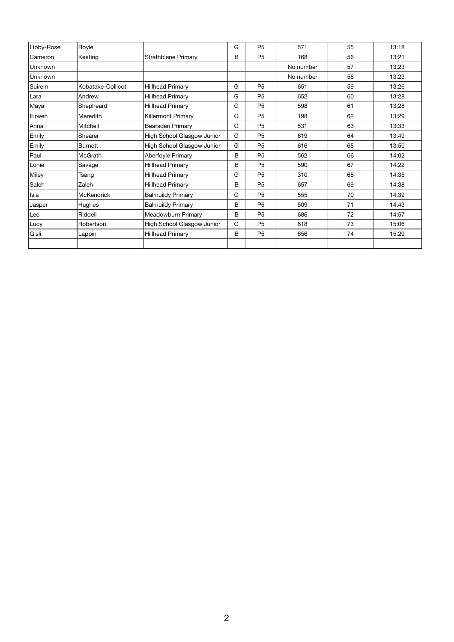| Libby-Rose | <b>Boyle</b>      |                                   | G | <b>P5</b>      | 571       | 55 | 13:18 |
|------------|-------------------|-----------------------------------|---|----------------|-----------|----|-------|
| Cameron    | Keating           | <b>Strathblane Primary</b>        | B | P <sub>5</sub> | 168       | 56 | 13:21 |
| Unknown    |                   |                                   |   |                | No number | 57 | 13:23 |
| Unknown    |                   |                                   |   |                | No number | 58 | 13:23 |
| Suirem     | Kobatake-Collicot | <b>Hillhead Primary</b>           | G | <b>P5</b>      | 651       | 59 | 13:26 |
| Lara       | Andrew            | <b>Hillhead Primary</b>           | G | P <sub>5</sub> | 652       | 60 | 13:28 |
| Maya       | Shepheard         | <b>Hillhead Primary</b>           | G | P <sub>5</sub> | 598       | 61 | 13:28 |
| Eirwen     | Meredith          | <b>Killermont Primary</b>         | G | P <sub>5</sub> | 198       | 62 | 13:29 |
| Anna       | <b>Mitchell</b>   | <b>Bearsden Primary</b>           | G | P <sub>5</sub> | 531       | 63 | 13:33 |
| Emily      | Shearer           | <b>High School Glasgow Junior</b> | G | P <sub>5</sub> | 619       | 64 | 13:49 |
| Emily      | <b>Burnett</b>    | <b>High School Glasgow Junior</b> | G | P <sub>5</sub> | 616       | 65 | 13:50 |
| Paul       | <b>McGrath</b>    | Aberfoyle Primary                 | B | P <sub>5</sub> | 562       | 66 | 14:02 |
| Lonie      | Savage            | <b>Hillhead Primary</b>           | B | P <sub>5</sub> | 590       | 67 | 14:22 |
| Miley      | Tsang             | <b>Hillhead Primary</b>           | G | P <sub>5</sub> | 310       | 68 | 14:35 |
| Saleh      | Zaleh             | <b>Hillhead Primary</b>           | B | P <sub>5</sub> | 657       | 69 | 14:38 |
| Isla       | <b>McKendrick</b> | <b>Balmuildy Primary</b>          | G | P <sub>5</sub> | 555       | 70 | 14:39 |
| Jasper     | Hughes            | <b>Balmuildy Primary</b>          | B | P <sub>5</sub> | 509       | 71 | 14:43 |
| Leo        | Riddell           | <b>Meadowburn Primary</b>         | B | P <sub>5</sub> | 686       | 72 | 14:57 |
| Lucy       | Robertson         | <b>High School Glasgow Junior</b> | G | P <sub>5</sub> | 618       | 73 | 15:06 |
| Gisli      | Lappin            | <b>Hillhead Primary</b>           | B | P <sub>5</sub> | 656       | 74 | 15:29 |
|            |                   |                                   |   |                |           |    |       |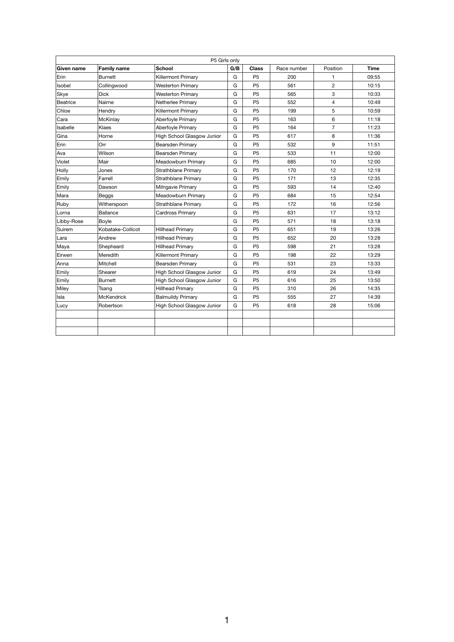|                   |                    | P5 Girls only                     |     |                |             |                |             |
|-------------------|--------------------|-----------------------------------|-----|----------------|-------------|----------------|-------------|
| <b>Given name</b> | <b>Family name</b> | <b>School</b>                     | G/B | <b>Class</b>   | Race number | Position       | <b>Time</b> |
| Erin              | Burnett            | <b>Killermont Primary</b>         | G   | P <sub>5</sub> | 200         |                | 09:55       |
| Isobel            | Collingwood        | <b>Westerton Primary</b>          | G   | P <sub>5</sub> | 561         | $\overline{2}$ | 10:15       |
| Skye              | <b>Dick</b>        | <b>Westerton Primary</b>          | G   | P <sub>5</sub> | 565         | 3              | 10:33       |
| Beatrice          | Nairne             | Netherlee Primary                 | G   | P <sub>5</sub> | 552         | 4              | 10:49       |
| Chloe             | Hendry             | <b>Killermont Primary</b>         | G   | P <sub>5</sub> | 199         | 5              | 10:59       |
| Cara              | <b>McKinlay</b>    | Aberfoyle Primary                 | G   | P <sub>5</sub> | 163         | 6              | 11:18       |
| Isabelle          | <b>Klaes</b>       | Aberfoyle Primary                 | G   | P <sub>5</sub> | 164         | $\overline{7}$ | 11:23       |
| Gina              | Horne              | <b>High School Glasgow Junior</b> | G   | P <sub>5</sub> | 617         | 8              | 11:36       |
| Erin              | Orr                | <b>Bearsden Primary</b>           | G   | P <sub>5</sub> | 532         | 9              | 11:51       |
| Ava               | Wilson             | <b>Bearsden Primary</b>           | G   | P <sub>5</sub> | 533         | 11             | 12:00       |
| Violet            | Mair               | <b>Meadowburn Primary</b>         | G   | P <sub>5</sub> | 685         | 10             | 12:00       |
| Holly             | Jones              | <b>Strathblane Primary</b>        | G   | P <sub>5</sub> | 170         | 12             | 12:19       |
| Emily             | Farrell            | <b>Strathblane Primary</b>        | G   | P <sub>5</sub> | 171         | 13             | 12:35       |
| Emily             | Dawson             | Milngavie Primary                 | G   | P <sub>5</sub> | 593         | 14             | 12:40       |
| Mara              | Beggs              | Meadowburn Primary                | G   | P <sub>5</sub> | 684         | 15             | 12:54       |
| Ruby              | Witherspoon        | <b>Strathblane Primary</b>        | G   | P <sub>5</sub> | 172         | 16             | 12:56       |
| Lorna             | <b>Ballance</b>    | <b>Cardross Primary</b>           | G   | P <sub>5</sub> | 631         | 17             | 13:12       |
| Libby-Rose        | Boyle              |                                   | G   | P <sub>5</sub> | 571         | 18             | 13:18       |
| Suirem            | Kobatake-Collicot  | <b>Hillhead Primary</b>           | G   | P <sub>5</sub> | 651         | 19             | 13:26       |
| Lara              | Andrew             | <b>Hillhead Primary</b>           | G   | P <sub>5</sub> | 652         | 20             | 13:28       |
| Maya              | Shepheard          | <b>Hillhead Primary</b>           | G   | P <sub>5</sub> | 598         | 21             | 13:28       |
| Eirwen            | Meredith           | <b>Killermont Primary</b>         | G   | P <sub>5</sub> | 198         | 22             | 13:29       |
| Anna              | Mitchell           | Bearsden Primary                  | G   | P <sub>5</sub> | 531         | 23             | 13:33       |
| Emily             | Shearer            | <b>High School Glasgow Junior</b> | G   | P <sub>5</sub> | 619         | 24             | 13:49       |
| Emily             | <b>Burnett</b>     | <b>High School Glasgow Junior</b> | G   | P <sub>5</sub> | 616         | 25             | 13:50       |
| Miley             | Tsang              | <b>Hillhead Primary</b>           | G   | P <sub>5</sub> | 310         | 26             | 14:35       |
| Isla              | <b>McKendrick</b>  | <b>Balmuildy Primary</b>          | G   | P <sub>5</sub> | 555         | 27             | 14:39       |
| Lucy              | Robertson          | <b>High School Glasgow Junior</b> | G   | P <sub>5</sub> | 618         | 28             | 15:06       |
|                   |                    |                                   |     |                |             |                |             |
|                   |                    |                                   |     |                |             |                |             |
|                   |                    |                                   |     |                |             |                |             |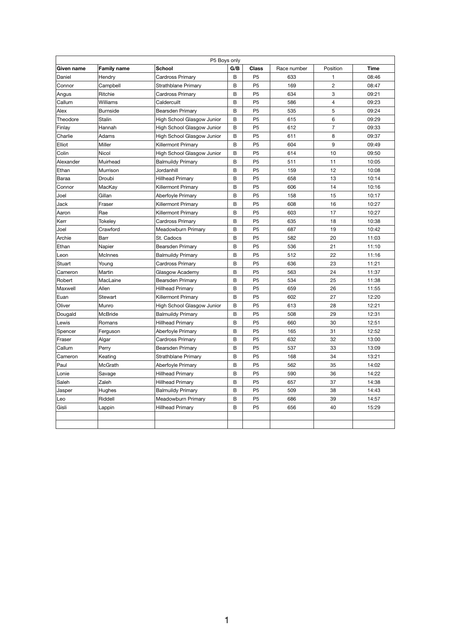|                   |                    | P5 Boys only               |     |                |             |                |             |
|-------------------|--------------------|----------------------------|-----|----------------|-------------|----------------|-------------|
| <b>Given name</b> | <b>Family name</b> | <b>School</b>              | G/B | <b>Class</b>   | Race number | Position       | <b>Time</b> |
| Daniel            | Hendry             | <b>Cardross Primary</b>    | B   | P <sub>5</sub> | 633         |                | 08:46       |
| Connor            | Campbell           | <b>Strathblane Primary</b> | B   | P <sub>5</sub> | 169         | $\overline{2}$ | 08:47       |
| Angus             | Ritchie            | <b>Cardross Primary</b>    | B   | P <sub>5</sub> | 634         | 3              | 09:21       |
| Callum            | Williams           | Caldercuilt                | B   | P <sub>5</sub> | 586         | 4              | 09:23       |
| Alex              | <b>Burnside</b>    | <b>Bearsden Primary</b>    | B   | P <sub>5</sub> | 535         | 5              | 09:24       |
| Theodore          | <b>Stalin</b>      | High School Glasgow Junior | B   | P <sub>5</sub> | 615         | 6              | 09:29       |
| Finlay            | Hannah             | High School Glasgow Junior | B   | P <sub>5</sub> | 612         | $\overline{7}$ | 09:33       |
| Charlie           | Adams              | High School Glasgow Junior | B   | P <sub>5</sub> | 611         | 8              | 09:37       |
| <b>Elliot</b>     | <b>Miller</b>      | <b>Killermont Primary</b>  | B   | P <sub>5</sub> | 604         | 9              | 09:49       |
| Colin             | <b>Nicol</b>       | High School Glasgow Junior | B   | P <sub>5</sub> | 614         | 10             | 09:50       |
| Alexander         | Muirhead           | <b>Balmuildy Primary</b>   | B   | P <sub>5</sub> | 511         | 11             | 10:05       |
| Ethan             | Murrison           | Jordanhill                 | B   | P <sub>5</sub> | 159         | 12             | 10:08       |
| Baraa             | Droubi             | <b>Hillhead Primary</b>    | B   | P <sub>5</sub> | 658         | 13             | 10:14       |
| Connor            | MacKay             | <b>Killermont Primary</b>  | B   | P <sub>5</sub> | 606         | 14             | 10:16       |
| Joel              | Gillan             | Aberfoyle Primary          | B   | P <sub>5</sub> | 158         | 15             | 10:17       |
| <b>Jack</b>       | Fraser             | <b>Killermont Primary</b>  | B   | P <sub>5</sub> | 608         | 16             | 10:27       |
| Aaron             | Rae                | <b>Killermont Primary</b>  | B   | P <sub>5</sub> | 603         | 17             | 10:27       |
| Kerr              | Tokeley            | <b>Cardross Primary</b>    | B   | P <sub>5</sub> | 635         | 18             | 10:38       |
| Joel              | Crawford           | <b>Meadowburn Primary</b>  | B   | P <sub>5</sub> | 687         | 19             | 10:42       |
| Archie            | <b>Barr</b>        | St. Cadocs                 | B   | P <sub>5</sub> | 582         | 20             | 11:03       |
| Ethan             | Napier             | <b>Bearsden Primary</b>    | B   | P <sub>5</sub> | 536         | 21             | 11:10       |
| Leon              | <b>McInnes</b>     | <b>Balmuildy Primary</b>   | B   | P <sub>5</sub> | 512         | 22             | 11:16       |
| Stuart            | Young              | <b>Cardross Primary</b>    | B   | P <sub>5</sub> | 636         | 23             | 11:21       |
| Cameron           | Martin             | Glasgow Academy            | B   | P <sub>5</sub> | 563         | 24             | 11:37       |
| Robert            | MacLaine           | Bearsden Primary           | B   | P <sub>5</sub> | 534         | 25             | 11:38       |
| Maxwell           | Allen              | <b>Hillhead Primary</b>    | B   | P <sub>5</sub> | 659         | 26             | 11:55       |
| Euan              | Stewart            | <b>Killermont Primary</b>  | B   | P <sub>5</sub> | 602         | 27             | 12:20       |
| Oliver            | Munro              | High School Glasgow Junior | B   | P <sub>5</sub> | 613         | 28             | 12:21       |
| Dougald           | <b>McBride</b>     | <b>Balmuildy Primary</b>   | B   | P <sub>5</sub> | 508         | 29             | 12:31       |
| Lewis             | Romans             | <b>Hillhead Primary</b>    | B   | P <sub>5</sub> | 660         | 30             | 12:51       |
| Spencer           | Ferguson           | Aberfoyle Primary          | B   | P <sub>5</sub> | 165         | 31             | 12:52       |
| Fraser            | Algar              | <b>Cardross Primary</b>    | B   | P <sub>5</sub> | 632         | 32             | 13:00       |
| Callum            | Perry              | <b>Bearsden Primary</b>    | B   | P <sub>5</sub> | 537         | 33             | 13:09       |
| Cameron           | Keating            | <b>Strathblane Primary</b> | B   | P <sub>5</sub> | 168         | 34             | 13:21       |
| Paul              | McGrath            | Aberfoyle Primary          | B   | P <sub>5</sub> | 562         | 35             | 14:02       |
| Lonie             | Savage             | <b>Hillhead Primary</b>    | B   | P <sub>5</sub> | 590         | 36             | 14:22       |
| Saleh             | Zaleh              | <b>Hillhead Primary</b>    | B   | P <sub>5</sub> | 657         | 37             | 14:38       |
| Jasper            | <b>Hughes</b>      | <b>Balmuildy Primary</b>   | B   | P <sub>5</sub> | 509         | 38             | 14:43       |
| Leo               | Riddell            | Meadowburn Primary         | B   | P <sub>5</sub> | 686         | 39             | 14:57       |
| Gisli             | Lappin             | <b>Hillhead Primary</b>    | B   | P <sub>5</sub> | 656         | 40             | 15:29       |
|                   |                    |                            |     |                |             |                |             |
|                   |                    |                            |     |                |             |                |             |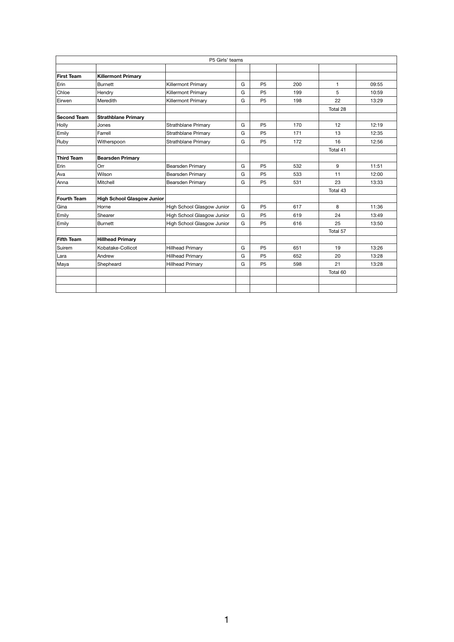|                    |                                   | P5 Girls' teams            |   |                |     |          |       |
|--------------------|-----------------------------------|----------------------------|---|----------------|-----|----------|-------|
|                    |                                   |                            |   |                |     |          |       |
| <b>First Team</b>  | <b>Killermont Primary</b>         |                            |   |                |     |          |       |
| Erin               | <b>Burnett</b>                    | <b>Killermont Primary</b>  | G | P <sub>5</sub> | 200 | 1        | 09:55 |
| Chloe              | Hendry                            | <b>Killermont Primary</b>  | G | P <sub>5</sub> | 199 | 5        | 10:59 |
| Eirwen             | Meredith                          | <b>Killermont Primary</b>  | G | P <sub>5</sub> | 198 | 22       | 13:29 |
|                    |                                   |                            |   |                |     | Total 28 |       |
| <b>Second Team</b> | <b>Strathblane Primary</b>        |                            |   |                |     |          |       |
| Holly              | Jones                             | Strathblane Primary        | G | P <sub>5</sub> | 170 | 12       | 12:19 |
| Emily              | Farrell                           | Strathblane Primary        | G | P <sub>5</sub> | 171 | 13       | 12:35 |
| Ruby               | Witherspoon                       | Strathblane Primary        | G | P <sub>5</sub> | 172 | 16       | 12:56 |
|                    |                                   |                            |   |                |     | Total 41 |       |
| <b>Third Team</b>  | <b>Bearsden Primary</b>           |                            |   |                |     |          |       |
| Erin               | Orr                               | Bearsden Primary           | G | P <sub>5</sub> | 532 | 9        | 11:51 |
| Ava                | Wilson                            | <b>Bearsden Primary</b>    | G | P <sub>5</sub> | 533 | 11       | 12:00 |
| Anna               | Mitchell                          | <b>Bearsden Primary</b>    | G | P <sub>5</sub> | 531 | 23       | 13:33 |
|                    |                                   |                            |   |                |     | Total 43 |       |
| <b>Fourth Team</b> | <b>High School Glasgow Junior</b> |                            |   |                |     |          |       |
| Gina               | Horne                             | High School Glasgow Junior | G | P <sub>5</sub> | 617 | 8        | 11:36 |
| Emily              | Shearer                           | High School Glasgow Junior | G | P <sub>5</sub> | 619 | 24       | 13:49 |
| Emily              | <b>Burnett</b>                    | High School Glasgow Junior | G | P <sub>5</sub> | 616 | 25       | 13:50 |
|                    |                                   |                            |   |                |     | Total 57 |       |
| <b>Fifth Team</b>  | <b>Hillhead Primary</b>           |                            |   |                |     |          |       |
| Suirem             | Kobatake-Collicot                 | <b>Hillhead Primary</b>    | G | P <sub>5</sub> | 651 | 19       | 13:26 |
| Lara               | Andrew                            | <b>Hillhead Primary</b>    | G | P <sub>5</sub> | 652 | 20       | 13:28 |
| Maya               | Shepheard                         | <b>Hillhead Primary</b>    | G | P <sub>5</sub> | 598 | 21       | 13:28 |
|                    |                                   |                            |   |                |     | Total 60 |       |
|                    |                                   |                            |   |                |     |          |       |
|                    |                                   |                            |   |                |     |          |       |